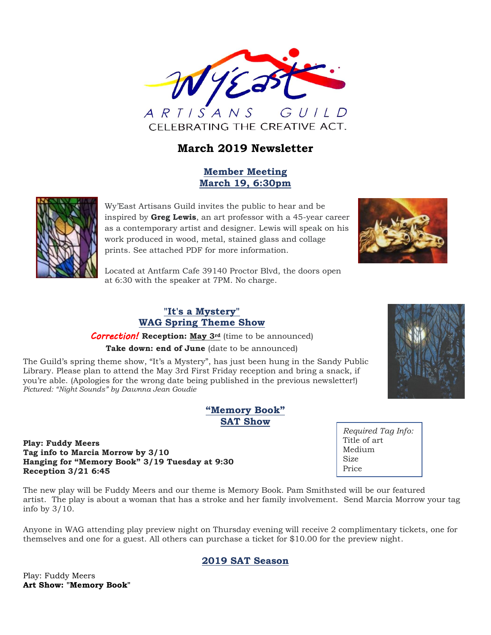

# **March 2019 Newsletter**

#### **Member Meeting March 19, 6:30pm**



Wy'East Artisans Guild invites the public to hear and be inspired by **Greg Lewis**, an art professor with a 45-year career as a contemporary artist and designer. Lewis will speak on his work produced in wood, metal, stained glass and collage prints. See attached PDF for more information.



Located at Antfarm Cafe 39140 Proctor Blvd, the doors open at 6:30 with the speaker at 7PM. No charge.

#### **"It's a Mystery" WAG Spring Theme Show**

*Correction!* **Reception: May 3rd** (time to be announced) **Take down: end of June** (date to be announced)

The Guild's spring theme show, "It's a Mystery", has just been hung in the Sandy Public Library. Please plan to attend the May 3rd First Friday reception and bring a snack, if you're able. (Apologies for the wrong date being published in the previous newsletter!) *Pictured: "Night Sounds" by Dawnna Jean Goudie*

#### **"Memory Book" SAT Show**

#### **Play: Fuddy Meers Tag info to Marcia Morrow by 3/10 Hanging for "Memory Book" 3/19 Tuesday at 9:30 Reception 3/21 6:45**

The new play will be Fuddy Meers and our theme is Memory Book. Pam Smithsted will be our featured artist. The play is about a woman that has a stroke and her family involvement. Send Marcia Morrow your tag info by 3/10.

Anyone in WAG attending play preview night on Thursday evening will receive 2 complimentary tickets, one for themselves and one for a guest. All others can purchase a ticket for \$10.00 for the preview night.

#### **2019 SAT Season**

Play: Fuddy Meers **Art Show: "Memory Book"**



*Required Tag Info:* Title of art Medium Size Price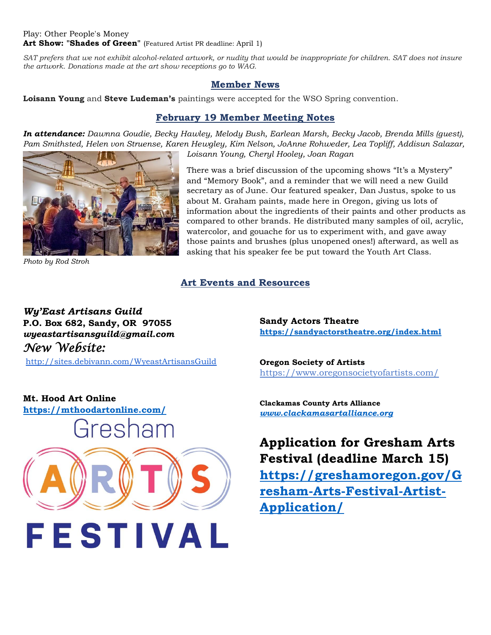#### Play: Other People's Money Art Show: "Shades of Green" (Featured Artist PR deadline: April 1)

*SAT prefers that we not exhibit alcohol-related artwork, or nudity that would be inappropriate for children. SAT does not insure the artwork. Donations made at the art show receptions go to WAG.*

#### **Member News**

**Loisann Young** and **Steve Ludeman's** paintings were accepted for the WSO Spring convention.

#### **February 19 Member Meeting Notes**

*In attendance: Dawnna Goudie, Becky Hawley, Melody Bush, Earlean Marsh, Becky Jacob, Brenda Mills (guest), Pam Smithsted, Helen von Struense, Karen Hewgley, Kim Nelson, JoAnne Rohweder, Lea Topliff, Addisun Salazar, Loisann Young, Cheryl Hooley, Joan Ragan*



*Photo by Rod Stroh*

There was a brief discussion of the upcoming shows "It's a Mystery" and "Memory Book", and a reminder that we will need a new Guild secretary as of June. Our featured speaker, Dan Justus, spoke to us about M. Graham paints, made here in Oregon, giving us lots of information about the ingredients of their paints and other products as compared to other brands. He distributed many samples of oil, acrylic, watercolor, and gouache for us to experiment with, and gave away those paints and brushes (plus unopened ones!) afterward, as well as asking that his speaker fee be put toward the Youth Art Class.

## **Art Events and Resources**

# *Wy'East Artisans Guild* **P.O. Box 682, Sandy, OR 97055** *wyeastartisansguild@gmail.com New Website:*

<http://sites.debivann.com/WyeastArtisansGuild>

**Sandy Actors Theatre <https://sandyactorstheatre.org/index.html>**

**Oregon Society of Artists** <https://www.oregonsocietyofartists.com/>

**Clackamas County Arts Alliance** *[www.clackamasartalliance.org](http://www.clackamasartalliance.org/)*

**Application for Gresham Arts Festival (deadline March 15) [https://greshamoregon.gov/G](https://greshamoregon.gov/Gresham-Arts-Festival-Artist-Application/) [resham-Arts-Festival-Artist-](https://greshamoregon.gov/Gresham-Arts-Festival-Artist-Application/)[Application/](https://greshamoregon.gov/Gresham-Arts-Festival-Artist-Application/)**